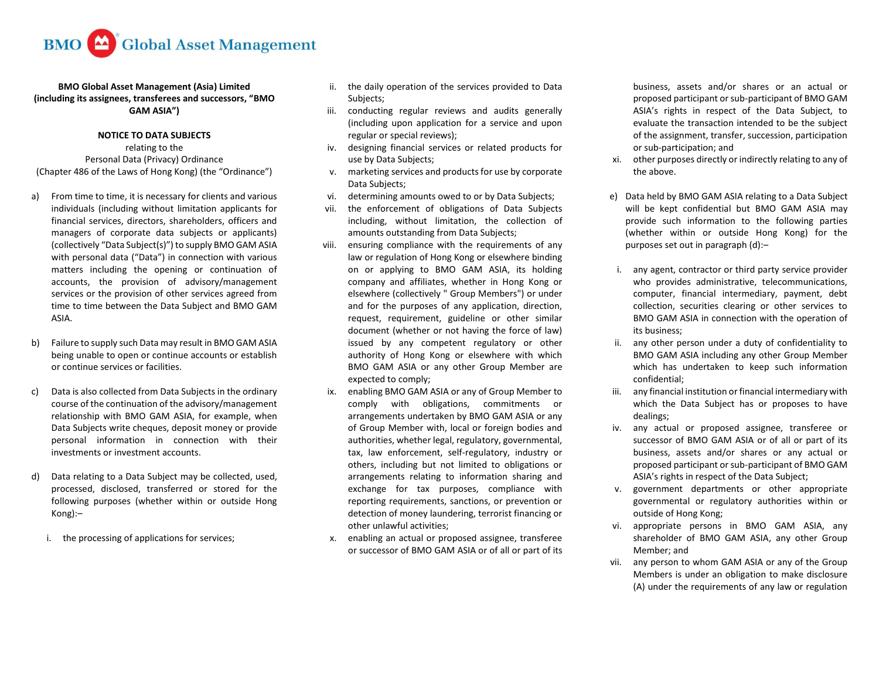

## **BMO Global Asset Management (Asia) Limited (including its assignees, transferees and successors, "BMO GAM ASIA")**

## **NOTICE TO DATA SUBJECTS**

relating to the Personal Data (Privacy) Ordinance (Chapter 486 of the Laws of Hong Kong) (the "Ordinance")

- a) From time to time, it is necessary for clients and various individuals (including without limitation applicants for financial services, directors, shareholders, officers and managers of corporate data subjects or applicants) (collectively "Data Subject(s)") to supply BMO GAM ASIA with personal data ("Data") in connection with various matters including the opening or continuation of accounts, the provision of advisory/management services or the provision of other services agreed from time to time between the Data Subject and BMO GAM ASIA.
- b) Failure to supply such Data may result in BMO GAM ASIA being unable to open or continue accounts or establish or continue services or facilities.
- c) Data is also collected from Data Subjects in the ordinary course of the continuation of the advisory/management relationship with BMO GAM ASIA, for example, when Data Subjects write cheques, deposit money or provide personal information in connection with their investments or investment accounts.
- d) Data relating to a Data Subject may be collected, used, processed, disclosed, transferred or stored for the following purposes (whether within or outside Hong Kong):–
	- i. the processing of applications for services;
- ii. the daily operation of the services provided to Data Subjects;
- iii. conducting regular reviews and audits generally (including upon application for a service and upon regular or special reviews);
- iv. designing financial services or related products for use by Data Subjects;
- v. marketing services and products for use by corporate Data Subjects;
- vi. determining amounts owed to or by Data Subjects;
- vii. the enforcement of obligations of Data Subjects including, without limitation, the collection of amounts outstanding from Data Subjects;
- viii. ensuring compliance with the requirements of any law or regulation of Hong Kong or elsewhere binding on or applying to BMO GAM ASIA, its holding company and affiliates, whether in Hong Kong or elsewhere (collectively " Group Members") or under and for the purposes of any application, direction, request, requirement, guideline or other similar document (whether or not having the force of law) issued by any competent regulatory or other authority of Hong Kong or elsewhere with which BMO GAM ASIA or any other Group Member are expected to comply;
- ix. enabling BMO GAM ASIA or any of Group Member to comply with obligations, commitments or arrangements undertaken by BMO GAM ASIA or any of Group Member with, local or foreign bodies and authorities, whether legal, regulatory, governmental, tax, law enforcement, self-regulatory, industry or others, including but not limited to obligations or arrangements relating to information sharing and exchange for tax purposes, compliance with reporting requirements, sanctions, or prevention or detection of money laundering, terrorist financing or other unlawful activities;
- x. enabling an actual or proposed assignee, transferee or successor of BMO GAM ASIA or of all or part of its

business, assets and/or shares or an actual or proposed participant or sub-participant of BMO GAM ASIA's rights in respect of the Data Subject, to evaluate the transaction intended to be the subject of the assignment, transfer, succession, participation or sub-participation; and

- xi. other purposes directly or indirectly relating to any of the above.
- e) Data held by BMO GAM ASIA relating to a Data Subject will be kept confidential but BMO GAM ASIA may provide such information to the following parties (whether within or outside Hong Kong) for the purposes set out in paragraph (d):–
- i. any agent, contractor or third party service provider who provides administrative, telecommunications, computer, financial intermediary, payment, debt collection, securities clearing or other services to BMO GAM ASIA in connection with the operation of its business;
- ii. any other person under a duty of confidentiality to BMO GAM ASIA including any other Group Member which has undertaken to keep such information confidential;
- iii. any financial institution or financial intermediary with which the Data Subject has or proposes to have dealings;
- iv. any actual or proposed assignee, transferee or successor of BMO GAM ASIA or of all or part of its business, assets and/or shares or any actual or proposed participant or sub-participant of BMO GAM ASIA's rights in respect of the Data Subject;
- v. government departments or other appropriate governmental or regulatory authorities within or outside of Hong Kong;
- vi. appropriate persons in BMO GAM ASIA, any shareholder of BMO GAM ASIA, any other Group Member; and
- vii. any person to whom GAM ASIA or any of the Group Members is under an obligation to make disclosure (A) under the requirements of any law or regulation